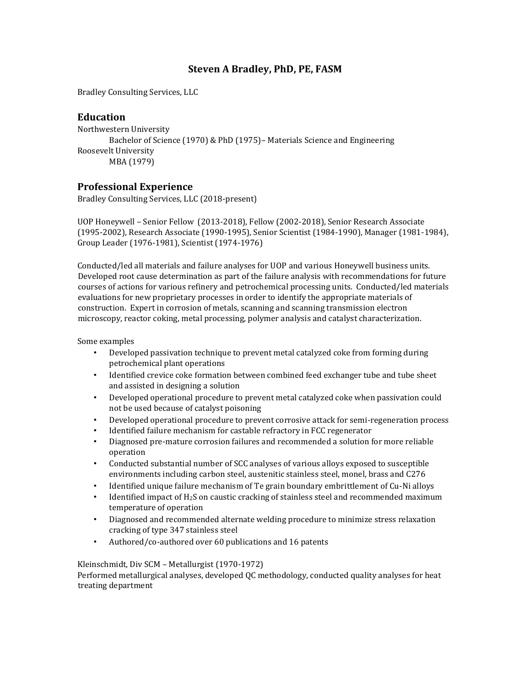## **Steven A Bradley, PhD, PE, FASM**

Bradley Consulting Services, LLC

## **Education**

Northwestern University Bachelor of Science (1970) & PhD (1975)– Materials Science and Engineering Roosevelt University MBA (1979)

## **Professional Experience**

Bradley Consulting Services, LLC (2018-present)

UOP Honeywell – Senior Fellow (2013-2018), Fellow (2002-2018), Senior Research Associate (1995-2002), Research Associate (1990-1995), Senior Scientist (1984-1990), Manager (1981-1984), Group Leader (1976-1981), Scientist (1974-1976)

Conducted/led all materials and failure analyses for UOP and various Honeywell business units. Developed root cause determination as part of the failure analysis with recommendations for future courses of actions for various refinery and petrochemical processing units. Conducted/led materials evaluations for new proprietary processes in order to identify the appropriate materials of construction. Expert in corrosion of metals, scanning and scanning transmission electron microscopy, reactor coking, metal processing, polymer analysis and catalyst characterization.

Some examples

- Developed passivation technique to prevent metal catalyzed coke from forming during petrochemical plant operations
- Identified crevice coke formation between combined feed exchanger tube and tube sheet and assisted in designing a solution
- Developed operational procedure to prevent metal catalyzed coke when passivation could not be used because of catalyst poisoning
- Developed operational procedure to prevent corrosive attack for semi-regeneration process
- Identified failure mechanism for castable refractory in FCC regenerator
- Diagnosed pre-mature corrosion failures and recommended a solution for more reliable operation
- Conducted substantial number of SCC analyses of various alloys exposed to susceptible environments including carbon steel, austenitic stainless steel, monel, brass and C276
- Identified unique failure mechanism of Te grain boundary embrittlement of Cu-Ni alloys
- Identified impact of H2S on caustic cracking of stainless steel and recommended maximum temperature of operation
- Diagnosed and recommended alternate welding procedure to minimize stress relaxation cracking of type 347 stainless steel
- Authored/co-authored over 60 publications and 16 patents

Kleinschmidt, Div SCM – Metallurgist (1970-1972)

Performed metallurgical analyses, developed QC methodology, conducted quality analyses for heat treating department